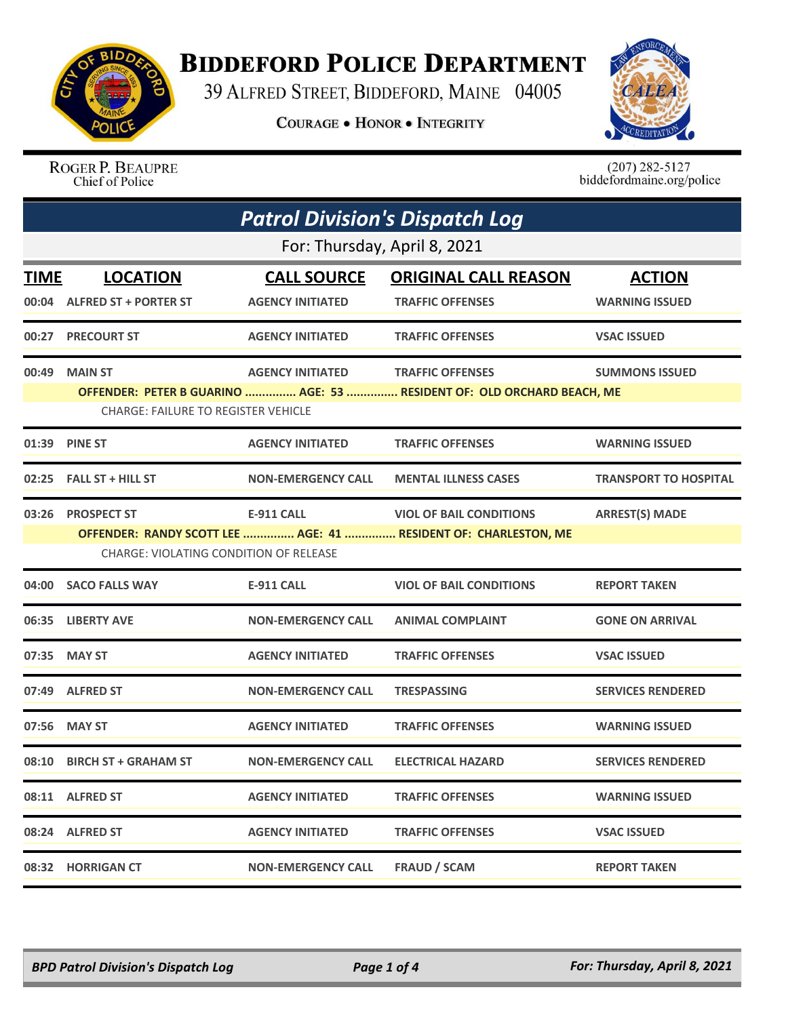

## **BIDDEFORD POLICE DEPARTMENT**

39 ALFRED STREET, BIDDEFORD, MAINE 04005

**COURAGE . HONOR . INTEGRITY** 



ROGER P. BEAUPRE Chief of Police

 $(207)$  282-5127<br>biddefordmaine.org/police

|                              | <b>Patrol Division's Dispatch Log</b>         |                           |                                                                        |                              |  |  |  |
|------------------------------|-----------------------------------------------|---------------------------|------------------------------------------------------------------------|------------------------------|--|--|--|
| For: Thursday, April 8, 2021 |                                               |                           |                                                                        |                              |  |  |  |
| <b>TIME</b>                  | <b>LOCATION</b>                               | <b>CALL SOURCE</b>        | <b>ORIGINAL CALL REASON</b>                                            | <b>ACTION</b>                |  |  |  |
|                              | 00:04 ALFRED ST + PORTER ST                   | <b>AGENCY INITIATED</b>   | <b>TRAFFIC OFFENSES</b>                                                | <b>WARNING ISSUED</b>        |  |  |  |
|                              | 00:27 PRECOURT ST                             | <b>AGENCY INITIATED</b>   | <b>TRAFFIC OFFENSES</b>                                                | <b>VSAC ISSUED</b>           |  |  |  |
| 00:49                        | <b>MAIN ST</b>                                | <b>AGENCY INITIATED</b>   | <b>TRAFFIC OFFENSES</b>                                                | <b>SUMMONS ISSUED</b>        |  |  |  |
|                              | <b>CHARGE: FAILURE TO REGISTER VEHICLE</b>    |                           | OFFENDER: PETER B GUARINO  AGE: 53  RESIDENT OF: OLD ORCHARD BEACH, ME |                              |  |  |  |
| 01:39                        | <b>PINE ST</b>                                | <b>AGENCY INITIATED</b>   | <b>TRAFFIC OFFENSES</b>                                                | <b>WARNING ISSUED</b>        |  |  |  |
|                              | 02:25 FALL ST + HILL ST                       | <b>NON-EMERGENCY CALL</b> | <b>MENTAL ILLNESS CASES</b>                                            | <b>TRANSPORT TO HOSPITAL</b> |  |  |  |
|                              | 03:26 PROSPECT ST                             | <b>E-911 CALL</b>         | <b>VIOL OF BAIL CONDITIONS</b>                                         | <b>ARREST(S) MADE</b>        |  |  |  |
|                              | <b>CHARGE: VIOLATING CONDITION OF RELEASE</b> |                           | OFFENDER: RANDY SCOTT LEE  AGE: 41  RESIDENT OF: CHARLESTON, ME        |                              |  |  |  |
|                              | 04:00 SACO FALLS WAY                          | <b>E-911 CALL</b>         | <b>VIOL OF BAIL CONDITIONS</b>                                         | <b>REPORT TAKEN</b>          |  |  |  |
|                              | 06:35 LIBERTY AVE                             | <b>NON-EMERGENCY CALL</b> | <b>ANIMAL COMPLAINT</b>                                                | <b>GONE ON ARRIVAL</b>       |  |  |  |
|                              | 07:35 MAY ST                                  | <b>AGENCY INITIATED</b>   | <b>TRAFFIC OFFENSES</b>                                                | <b>VSAC ISSUED</b>           |  |  |  |
|                              | 07:49 ALFRED ST                               | <b>NON-EMERGENCY CALL</b> | <b>TRESPASSING</b>                                                     | <b>SERVICES RENDERED</b>     |  |  |  |
|                              | 07:56 MAY ST                                  | <b>AGENCY INITIATED</b>   | <b>TRAFFIC OFFENSES</b>                                                | <b>WARNING ISSUED</b>        |  |  |  |
|                              | 08:10 BIRCH ST + GRAHAM ST                    | <b>NON-EMERGENCY CALL</b> | <b>ELECTRICAL HAZARD</b>                                               | <b>SERVICES RENDERED</b>     |  |  |  |
|                              | 08:11 ALFRED ST                               | <b>AGENCY INITIATED</b>   | <b>TRAFFIC OFFENSES</b>                                                | <b>WARNING ISSUED</b>        |  |  |  |
|                              | 08:24 ALFRED ST                               | <b>AGENCY INITIATED</b>   | <b>TRAFFIC OFFENSES</b>                                                | <b>VSAC ISSUED</b>           |  |  |  |
|                              | 08:32 HORRIGAN CT                             | <b>NON-EMERGENCY CALL</b> | <b>FRAUD / SCAM</b>                                                    | <b>REPORT TAKEN</b>          |  |  |  |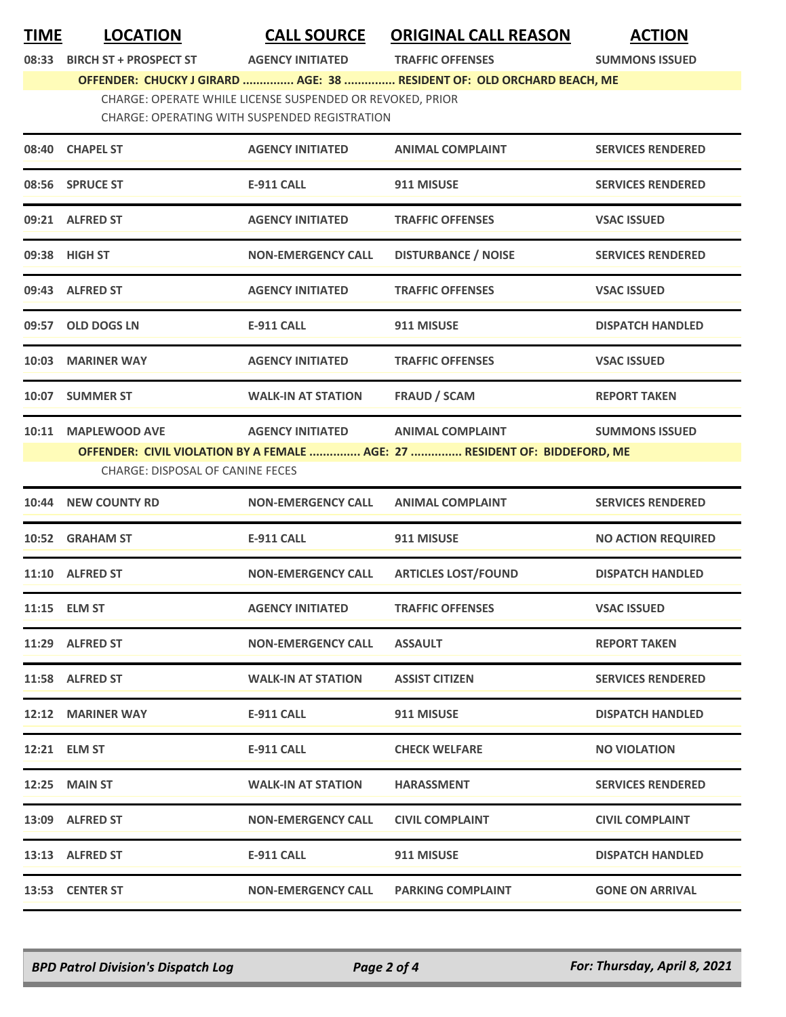**TIME LOCATION CALL SOURCE ORIGINAL CALL REASON ACTION**

**08:33 BIRCH ST + PROSPECT ST AGENCY INITIATED TRAFFIC OFFENSES SUMMONS ISSUED**

**OFFENDER: CHUCKY J GIRARD ............... AGE: 38 ............... RESIDENT OF: OLD ORCHARD BEACH, ME** CHARGE: OPERATE WHILE LICENSE SUSPENDED OR REVOKED, PRIOR

CHARGE: OPERATING WITH SUSPENDED REGISTRATION

| 08:40 CHAPEL ST<br><b>AGENCY INITIATED</b><br><b>ANIMAL COMPLAINT</b><br>08:56 SPRUCE ST<br><b>E-911 CALL</b><br>911 MISUSE<br>09:21 ALFRED ST<br><b>AGENCY INITIATED</b><br><b>TRAFFIC OFFENSES</b><br>09:38 HIGH ST<br><b>DISTURBANCE / NOISE</b><br><b>NON-EMERGENCY CALL</b><br>09:43 ALFRED ST<br><b>AGENCY INITIATED</b><br><b>TRAFFIC OFFENSES</b><br>09:57 OLD DOGS LN<br>911 MISUSE<br>E-911 CALL<br>10:03 MARINER WAY<br><b>AGENCY INITIATED</b><br><b>TRAFFIC OFFENSES</b><br>10:07 SUMMER ST<br><b>FRAUD / SCAM</b><br><b>WALK-IN AT STATION</b><br>10:11 MAPLEWOOD AVE<br><b>AGENCY INITIATED</b><br><b>ANIMAL COMPLAINT</b><br>OFFENDER: CIVIL VIOLATION BY A FEMALE  AGE: 27  RESIDENT OF: BIDDEFORD, ME<br><b>CHARGE: DISPOSAL OF CANINE FECES</b><br>10:44 NEW COUNTY RD<br><b>NON-EMERGENCY CALL</b><br><b>ANIMAL COMPLAINT</b><br>10:52 GRAHAM ST<br>911 MISUSE<br><b>E-911 CALL</b><br>11:10 ALFRED ST<br><b>ARTICLES LOST/FOUND</b><br><b>NON-EMERGENCY CALL</b><br>11:15 ELM ST<br><b>AGENCY INITIATED</b><br><b>TRAFFIC OFFENSES</b><br>11:29 ALFRED ST<br><b>NON-EMERGENCY CALL</b><br><b>ASSAULT</b><br>11:58 ALFRED ST<br><b>WALK-IN AT STATION</b><br><b>ASSIST CITIZEN</b><br>12:12 MARINER WAY<br><b>E-911 CALL</b><br>911 MISUSE<br>12:21 ELM ST<br>E-911 CALL<br><b>CHECK WELFARE</b><br><b>12:25 MAIN ST</b><br><b>WALK-IN AT STATION</b><br><b>HARASSMENT</b><br>13:09 ALFRED ST<br><b>NON-EMERGENCY CALL</b><br><b>CIVIL COMPLAINT</b><br>E-911 CALL<br>911 MISUSE<br>13:13 ALFRED ST<br>13:53 CENTER ST<br><b>NON-EMERGENCY CALL</b><br><b>PARKING COMPLAINT</b> |                           |
|-----------------------------------------------------------------------------------------------------------------------------------------------------------------------------------------------------------------------------------------------------------------------------------------------------------------------------------------------------------------------------------------------------------------------------------------------------------------------------------------------------------------------------------------------------------------------------------------------------------------------------------------------------------------------------------------------------------------------------------------------------------------------------------------------------------------------------------------------------------------------------------------------------------------------------------------------------------------------------------------------------------------------------------------------------------------------------------------------------------------------------------------------------------------------------------------------------------------------------------------------------------------------------------------------------------------------------------------------------------------------------------------------------------------------------------------------------------------------------------------------------------------------------------------------------------------------------------------------------|---------------------------|
|                                                                                                                                                                                                                                                                                                                                                                                                                                                                                                                                                                                                                                                                                                                                                                                                                                                                                                                                                                                                                                                                                                                                                                                                                                                                                                                                                                                                                                                                                                                                                                                                     | <b>SERVICES RENDERED</b>  |
|                                                                                                                                                                                                                                                                                                                                                                                                                                                                                                                                                                                                                                                                                                                                                                                                                                                                                                                                                                                                                                                                                                                                                                                                                                                                                                                                                                                                                                                                                                                                                                                                     | <b>SERVICES RENDERED</b>  |
|                                                                                                                                                                                                                                                                                                                                                                                                                                                                                                                                                                                                                                                                                                                                                                                                                                                                                                                                                                                                                                                                                                                                                                                                                                                                                                                                                                                                                                                                                                                                                                                                     | <b>VSAC ISSUED</b>        |
|                                                                                                                                                                                                                                                                                                                                                                                                                                                                                                                                                                                                                                                                                                                                                                                                                                                                                                                                                                                                                                                                                                                                                                                                                                                                                                                                                                                                                                                                                                                                                                                                     | <b>SERVICES RENDERED</b>  |
|                                                                                                                                                                                                                                                                                                                                                                                                                                                                                                                                                                                                                                                                                                                                                                                                                                                                                                                                                                                                                                                                                                                                                                                                                                                                                                                                                                                                                                                                                                                                                                                                     | <b>VSAC ISSUED</b>        |
|                                                                                                                                                                                                                                                                                                                                                                                                                                                                                                                                                                                                                                                                                                                                                                                                                                                                                                                                                                                                                                                                                                                                                                                                                                                                                                                                                                                                                                                                                                                                                                                                     | <b>DISPATCH HANDLED</b>   |
|                                                                                                                                                                                                                                                                                                                                                                                                                                                                                                                                                                                                                                                                                                                                                                                                                                                                                                                                                                                                                                                                                                                                                                                                                                                                                                                                                                                                                                                                                                                                                                                                     | <b>VSAC ISSUED</b>        |
|                                                                                                                                                                                                                                                                                                                                                                                                                                                                                                                                                                                                                                                                                                                                                                                                                                                                                                                                                                                                                                                                                                                                                                                                                                                                                                                                                                                                                                                                                                                                                                                                     | <b>REPORT TAKEN</b>       |
|                                                                                                                                                                                                                                                                                                                                                                                                                                                                                                                                                                                                                                                                                                                                                                                                                                                                                                                                                                                                                                                                                                                                                                                                                                                                                                                                                                                                                                                                                                                                                                                                     | <b>SUMMONS ISSUED</b>     |
|                                                                                                                                                                                                                                                                                                                                                                                                                                                                                                                                                                                                                                                                                                                                                                                                                                                                                                                                                                                                                                                                                                                                                                                                                                                                                                                                                                                                                                                                                                                                                                                                     | <b>SERVICES RENDERED</b>  |
|                                                                                                                                                                                                                                                                                                                                                                                                                                                                                                                                                                                                                                                                                                                                                                                                                                                                                                                                                                                                                                                                                                                                                                                                                                                                                                                                                                                                                                                                                                                                                                                                     | <b>NO ACTION REQUIRED</b> |
|                                                                                                                                                                                                                                                                                                                                                                                                                                                                                                                                                                                                                                                                                                                                                                                                                                                                                                                                                                                                                                                                                                                                                                                                                                                                                                                                                                                                                                                                                                                                                                                                     | <b>DISPATCH HANDLED</b>   |
|                                                                                                                                                                                                                                                                                                                                                                                                                                                                                                                                                                                                                                                                                                                                                                                                                                                                                                                                                                                                                                                                                                                                                                                                                                                                                                                                                                                                                                                                                                                                                                                                     | <b>VSAC ISSUED</b>        |
|                                                                                                                                                                                                                                                                                                                                                                                                                                                                                                                                                                                                                                                                                                                                                                                                                                                                                                                                                                                                                                                                                                                                                                                                                                                                                                                                                                                                                                                                                                                                                                                                     | <b>REPORT TAKEN</b>       |
|                                                                                                                                                                                                                                                                                                                                                                                                                                                                                                                                                                                                                                                                                                                                                                                                                                                                                                                                                                                                                                                                                                                                                                                                                                                                                                                                                                                                                                                                                                                                                                                                     | <b>SERVICES RENDERED</b>  |
|                                                                                                                                                                                                                                                                                                                                                                                                                                                                                                                                                                                                                                                                                                                                                                                                                                                                                                                                                                                                                                                                                                                                                                                                                                                                                                                                                                                                                                                                                                                                                                                                     | <b>DISPATCH HANDLED</b>   |
|                                                                                                                                                                                                                                                                                                                                                                                                                                                                                                                                                                                                                                                                                                                                                                                                                                                                                                                                                                                                                                                                                                                                                                                                                                                                                                                                                                                                                                                                                                                                                                                                     | <b>NO VIOLATION</b>       |
|                                                                                                                                                                                                                                                                                                                                                                                                                                                                                                                                                                                                                                                                                                                                                                                                                                                                                                                                                                                                                                                                                                                                                                                                                                                                                                                                                                                                                                                                                                                                                                                                     | <b>SERVICES RENDERED</b>  |
|                                                                                                                                                                                                                                                                                                                                                                                                                                                                                                                                                                                                                                                                                                                                                                                                                                                                                                                                                                                                                                                                                                                                                                                                                                                                                                                                                                                                                                                                                                                                                                                                     | <b>CIVIL COMPLAINT</b>    |
|                                                                                                                                                                                                                                                                                                                                                                                                                                                                                                                                                                                                                                                                                                                                                                                                                                                                                                                                                                                                                                                                                                                                                                                                                                                                                                                                                                                                                                                                                                                                                                                                     | <b>DISPATCH HANDLED</b>   |
|                                                                                                                                                                                                                                                                                                                                                                                                                                                                                                                                                                                                                                                                                                                                                                                                                                                                                                                                                                                                                                                                                                                                                                                                                                                                                                                                                                                                                                                                                                                                                                                                     | <b>GONE ON ARRIVAL</b>    |

*BPD Patrol Division's Dispatch Log Page 2 of 4 For: Thursday, April 8, 2021*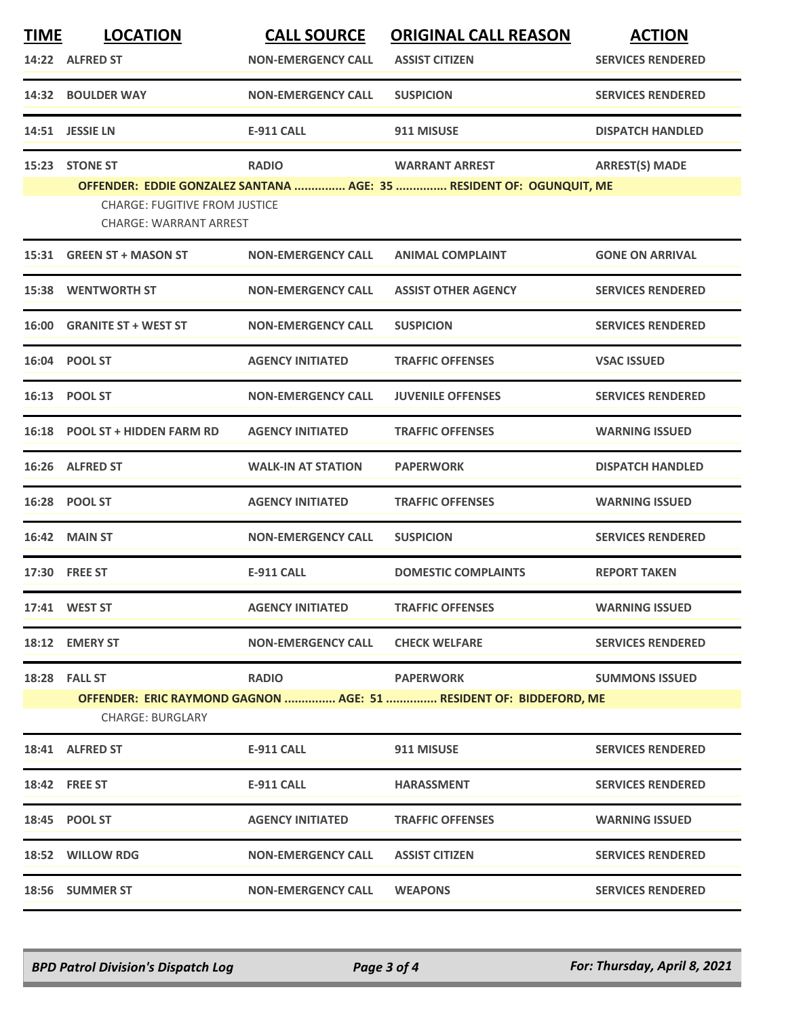| <b>TIME</b> | <b>LOCATION</b>                                                       | <b>CALL SOURCE</b>        | <b>ORIGINAL CALL REASON</b>                                          | <b>ACTION</b>            |
|-------------|-----------------------------------------------------------------------|---------------------------|----------------------------------------------------------------------|--------------------------|
|             | 14:22 ALFRED ST                                                       | <b>NON-EMERGENCY CALL</b> | <b>ASSIST CITIZEN</b>                                                | <b>SERVICES RENDERED</b> |
|             | 14:32 BOULDER WAY                                                     | <b>NON-EMERGENCY CALL</b> | <b>SUSPICION</b>                                                     | <b>SERVICES RENDERED</b> |
|             | 14:51 JESSIE LN                                                       | <b>E-911 CALL</b>         | 911 MISUSE                                                           | <b>DISPATCH HANDLED</b>  |
|             | 15:23 STONE ST                                                        | <b>RADIO</b>              | <b>WARRANT ARREST</b>                                                | <b>ARREST(S) MADE</b>    |
|             | <b>CHARGE: FUGITIVE FROM JUSTICE</b><br><b>CHARGE: WARRANT ARREST</b> |                           | OFFENDER: EDDIE GONZALEZ SANTANA  AGE: 35  RESIDENT OF: OGUNQUIT, ME |                          |
|             | 15:31 GREEN ST + MASON ST                                             | <b>NON-EMERGENCY CALL</b> | <b>ANIMAL COMPLAINT</b>                                              | <b>GONE ON ARRIVAL</b>   |
|             | <b>15:38 WENTWORTH ST</b>                                             | <b>NON-EMERGENCY CALL</b> | <b>ASSIST OTHER AGENCY</b>                                           | <b>SERVICES RENDERED</b> |
|             | 16:00 GRANITE ST + WEST ST                                            | <b>NON-EMERGENCY CALL</b> | <b>SUSPICION</b>                                                     | <b>SERVICES RENDERED</b> |
|             | 16:04 POOL ST                                                         | <b>AGENCY INITIATED</b>   | <b>TRAFFIC OFFENSES</b>                                              | <b>VSAC ISSUED</b>       |
|             | 16:13 POOL ST                                                         | <b>NON-EMERGENCY CALL</b> | <b>JUVENILE OFFENSES</b>                                             | <b>SERVICES RENDERED</b> |
|             | 16:18 POOL ST + HIDDEN FARM RD                                        | <b>AGENCY INITIATED</b>   | <b>TRAFFIC OFFENSES</b>                                              | <b>WARNING ISSUED</b>    |
|             | 16:26 ALFRED ST                                                       | <b>WALK-IN AT STATION</b> | <b>PAPERWORK</b>                                                     | <b>DISPATCH HANDLED</b>  |
|             | 16:28 POOL ST                                                         | <b>AGENCY INITIATED</b>   | <b>TRAFFIC OFFENSES</b>                                              | <b>WARNING ISSUED</b>    |
|             | <b>16:42 MAIN ST</b>                                                  | <b>NON-EMERGENCY CALL</b> | <b>SUSPICION</b>                                                     | <b>SERVICES RENDERED</b> |
|             | 17:30 FREE ST                                                         | <b>E-911 CALL</b>         | <b>DOMESTIC COMPLAINTS</b>                                           | <b>REPORT TAKEN</b>      |
|             | 17:41 WEST ST                                                         | <b>AGENCY INITIATED</b>   | <b>TRAFFIC OFFENSES</b>                                              | <b>WARNING ISSUED</b>    |
|             | 18:12 EMERY ST                                                        | <b>NON-EMERGENCY CALL</b> | <b>CHECK WELFARE</b>                                                 | <b>SERVICES RENDERED</b> |
|             | <b>18:28 FALL ST</b>                                                  | <b>RADIO</b>              | <b>PAPERWORK</b>                                                     | <b>SUMMONS ISSUED</b>    |
|             | <b>CHARGE: BURGLARY</b>                                               |                           | OFFENDER: ERIC RAYMOND GAGNON  AGE: 51  RESIDENT OF: BIDDEFORD, ME   |                          |
|             | 18:41 ALFRED ST                                                       | <b>E-911 CALL</b>         | 911 MISUSE                                                           | <b>SERVICES RENDERED</b> |
|             | <b>18:42 FREE ST</b>                                                  | <b>E-911 CALL</b>         | <b>HARASSMENT</b>                                                    | <b>SERVICES RENDERED</b> |
|             | 18:45 POOL ST                                                         | <b>AGENCY INITIATED</b>   | <b>TRAFFIC OFFENSES</b>                                              | <b>WARNING ISSUED</b>    |
|             | 18:52 WILLOW RDG                                                      | <b>NON-EMERGENCY CALL</b> | <b>ASSIST CITIZEN</b>                                                | <b>SERVICES RENDERED</b> |
|             | 18:56 SUMMER ST                                                       | <b>NON-EMERGENCY CALL</b> | <b>WEAPONS</b>                                                       | <b>SERVICES RENDERED</b> |

*BPD Patrol Division's Dispatch Log Page 3 of 4 For: Thursday, April 8, 2021*